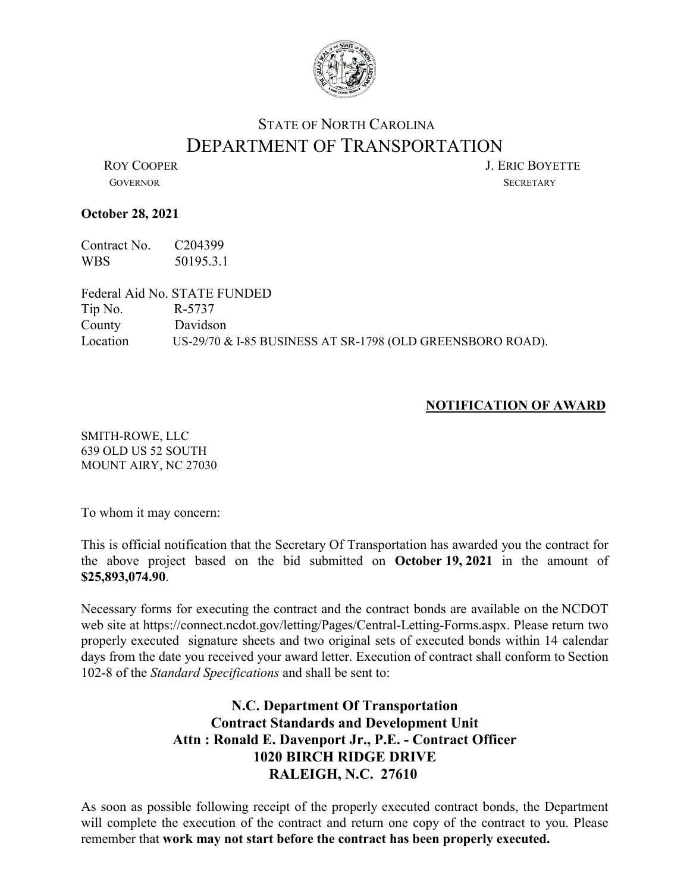

## STATE OF NORTH CAROLINA DEPARTMENT OF TRANSPORTATION<br>LERIC BOYETTE

GOVERNOR SECRETARY

## **October 28, 2021**

Contract No. C204399 WBS 50195.3.1

Federal Aid No. STATE FUNDED Tip No. R-5737 County Davidson Location US-29/70 & I-85 BUSINESS AT SR-1798 (OLD GREENSBORO ROAD).

## **NOTIFICATION OF AWARD**

SMITH-ROWE, LLC 639 OLD US 52 SOUTH MOUNT AIRY, NC 27030

To whom it may concern:

This is official notification that the Secretary Of Transportation has awarded you the contract for the above project based on the bid submitted on **October 19, 2021** in the amount of **\$25,893,074.90**.

Necessary forms for executing the contract and the contract bonds are available on the NCDOT web site at https://connect.ncdot.gov/letting/Pages/Central-Letting-Forms.aspx. Please return two properly executed signature sheets and two original sets of executed bonds within 14 calendar days from the date you received your award letter. Execution of contract shall conform to Section 102-8 of the *Standard Specifications* and shall be sent to:

## **N.C. Department Of Transportation Contract Standards and Development Unit Attn : Ronald E. Davenport Jr., P.E. - Contract Officer 1020 BIRCH RIDGE DRIVE RALEIGH, N.C. 27610**

As soon as possible following receipt of the properly executed contract bonds, the Department will complete the execution of the contract and return one copy of the contract to you. Please remember that **work may not start before the contract has been properly executed.**